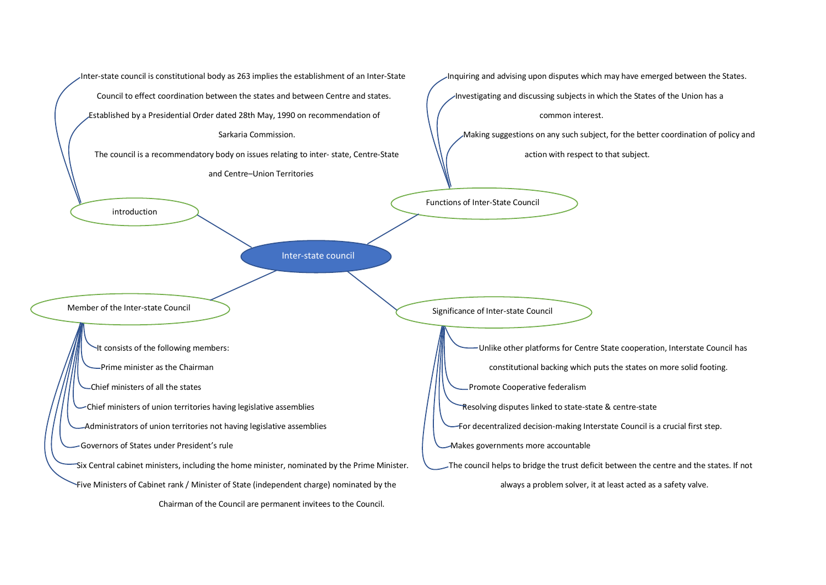